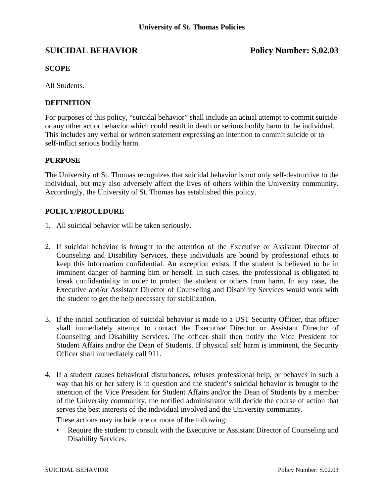# **SUICIDAL BEHAVIOR Policy Number: S.02.03**

## **SCOPE**

All Students.

### **DEFINITION**

For purposes of this policy, "suicidal behavior" shall include an actual attempt to commit suicide or any other act or behavior which could result in death or serious bodily harm to the individual. This includes any verbal or written statement expressing an intention to commit suicide or to self-inflict serious bodily harm.

#### **PURPOSE**

The University of St. Thomas recognizes that suicidal behavior is not only self-destructive to the individual, but may also adversely affect the lives of others within the University community. Accordingly, the University of St. Thomas has established this policy.

#### **POLICY/PROCEDURE**

- 1. All suicidal behavior will be taken seriously.
- 2. If suicidal behavior is brought to the attention of the Executive or Assistant Director of Counseling and Disability Services, these individuals are bound by professional ethics to keep this information confidential. An exception exists if the student is believed to be in imminent danger of harming him or herself. In such cases, the professional is obligated to break confidentiality in order to protect the student or others from harm. In any case, the Executive and/or Assistant Director of Counseling and Disability Services would work with the student to get the help necessary for stabilization.
- 3. If the initial notification of suicidal behavior is made to a UST Security Officer, that officer shall immediately attempt to contact the Executive Director or Assistant Director of Counseling and Disability Services. The officer shall then notify the Vice President for Student Affairs and/or the Dean of Students. If physical self harm is imminent, the Security Officer shall immediately call 911.
- 4. If a student causes behavioral disturbances, refuses professional help, or behaves in such a way that his or her safety is in question and the student's suicidal behavior is brought to the attention of the Vice President for Student Affairs and/or the Dean of Students by a member of the University community, the notified administrator will decide the course of action that serves the best interests of the individual involved and the University community.

These actions may include one or more of the following:

• Require the student to consult with the Executive or Assistant Director of Counseling and Disability Services.